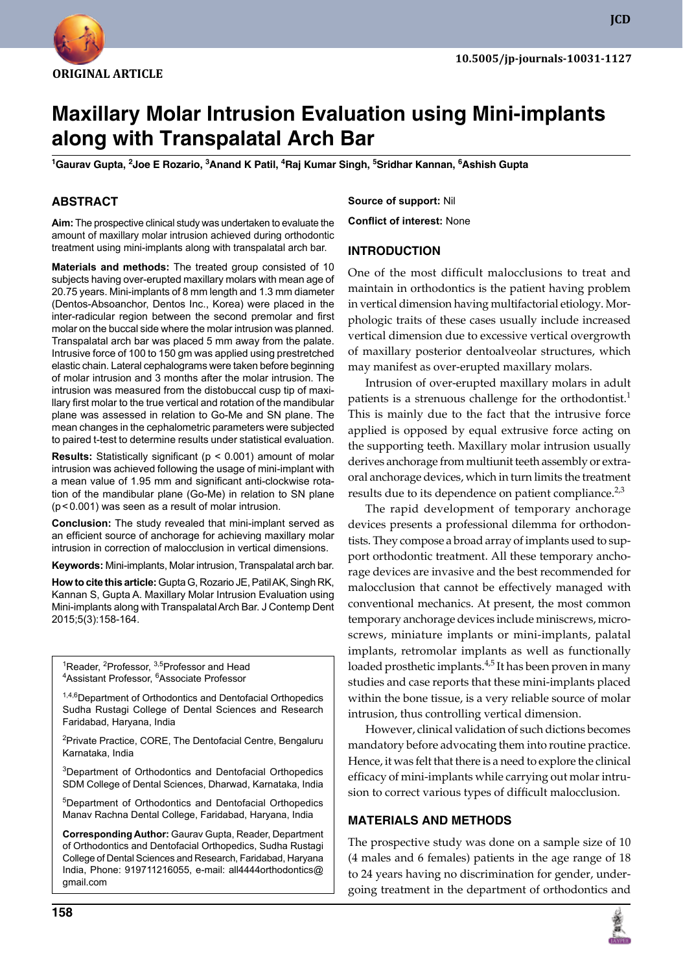

**JCD**

# **Maxillary Molar Intrusion Evaluation using Mini-implants along with Transpalatal Arch Bar**

**1 Gaurav Gupta, 2 Joe E Rozario, 3 Anand K Patil, 4 Raj Kumar Singh, 5 Sridhar Kannan, 6 Ashish Gupta**

# **ABSTRACT**

**Aim:** The prospective clinical study was undertaken to evaluate the amount of maxillary molar intrusion achieved during orthodontic treatment using mini-implants along with transpalatal arch bar.

**Materials and methods:** The treated group consisted of 10 subjects having over-erupted maxillary molars with mean age of 20.75 years. Mini-implants of 8 mm length and 1.3 mm diameter (Dentos-Absoanchor, Dentos Inc., Korea) were placed in the inter-radicular region between the second premolar and first molar on the buccal side where the molar intrusion was planned. Transpalatal arch bar was placed 5 mm away from the palate. Intrusive force of 100 to 150 gm was applied using prestretched elastic chain. Lateral cephalograms were taken before beginning of molar intrusion and 3 months after the molar intrusion. The intrusion was measured from the distobuccal cusp tip of maxillary first molar to the true vertical and rotation of the mandibular plane was assessed in relation to Go-Me and SN plane. The mean changes in the cephalometric parameters were subjected to paired t-test to determine results under statistical evaluation.

**Results:** Statistically significant (p < 0.001) amount of molar intrusion was achieved following the usage of mini-implant with a mean value of 1.95 mm and significant anti-clockwise rotation of the mandibular plane (Go-Me) in relation to SN plane (p<0.001) was seen as a result of molar intrusion.

**Conclusion:** The study revealed that mini-implant served as an efficient source of anchorage for achieving maxillary molar intrusion in correction of malocclusion in vertical dimensions.

**Keywords:** Mini-implants, Molar intrusion, Transpalatal arch bar.

**How to cite this article:** Gupta G, Rozario JE, Patil AK, Singh RK, Kannan S, Gupta A. Maxillary Molar Intrusion Evaluation using Mini-implants along with Transpalatal Arch Bar. J Contemp Dent 2015;5(3):158-164.

<sup>1</sup>Reader, <sup>2</sup>Professor, <sup>3,5</sup>Professor and Head <sup>4</sup>Assistant Professor, <sup>6</sup>Associate Professor

1,4,6Department of Orthodontics and Dentofacial Orthopedics Sudha Rustagi College of Dental Sciences and Research Faridabad, Haryana, India

<sup>2</sup>Private Practice, CORE, The Dentofacial Centre, Bengaluru Karnataka, India

<sup>3</sup>Department of Orthodontics and Dentofacial Orthopedics SDM College of Dental Sciences, Dharwad, Karnataka, India

5 Department of Orthodontics and Dentofacial Orthopedics Manav Rachna Dental College, Faridabad, Haryana, India

**Corresponding Author:** Gaurav Gupta, Reader, Department of Orthodontics and Dentofacial Orthopedics, Sudha Rustagi College of Dental Sciences and Research, Faridabad, Haryana India, Phone: 919711216055, e-mail: all4444orthodontics@ gmail.com

**Source of support:** Nil

**Conflict of interest:** None

#### **Introduction**

One of the most difficult malocclusions to treat and maintain in orthodontics is the patient having problem in vertical dimension having multifactorial etiology. Morphologic traits of these cases usually include increased vertical dimension due to excessive vertical overgrowth of maxillary posterior dentoalveolar structures, which may manifest as over-erupted maxillary molars.

Intrusion of over-erupted maxillary molars in adult patients is a strenuous challenge for the orthodontist.<sup>1</sup> This is mainly due to the fact that the intrusive force applied is opposed by equal extrusive force acting on the supporting teeth. Maxillary molar intrusion usually derives anchorage from multiunit teeth assembly or extraoral anchorage devices, which in turn limits the treatment results due to its dependence on patient compliance. $2,3$ 

The rapid development of temporary anchorage devices presents a professional dilemma for orthodontists. They compose a broad array of implants used to support orthodontic treatment. All these temporary anchorage devices are invasive and the best recommended for malocclusion that cannot be effectively managed with conventional mechanics. At present, the most common temporary anchorage devices include miniscrews, microscrews, miniature implants or mini-implants, palatal implants, retromolar implants as well as functionally loaded prosthetic implants.<sup>4,5</sup> It has been proven in many studies and case reports that these mini-implants placed within the bone tissue, is a very reliable source of molar intrusion, thus controlling vertical dimension.

However, clinical validation of such dictions becomes mandatory before advocating them into routine practice. Hence, it was felt that there is a need to explore the clinical efficacy of mini-implants while carrying out molar intrusion to correct various types of difficult malocclusion.

#### **MATERIALS AND METHODS**

The prospective study was done on a sample size of 10 (4 males and 6 females) patients in the age range of 18 to 24 years having no discrimination for gender, undergoing treatment in the department of orthodontics and

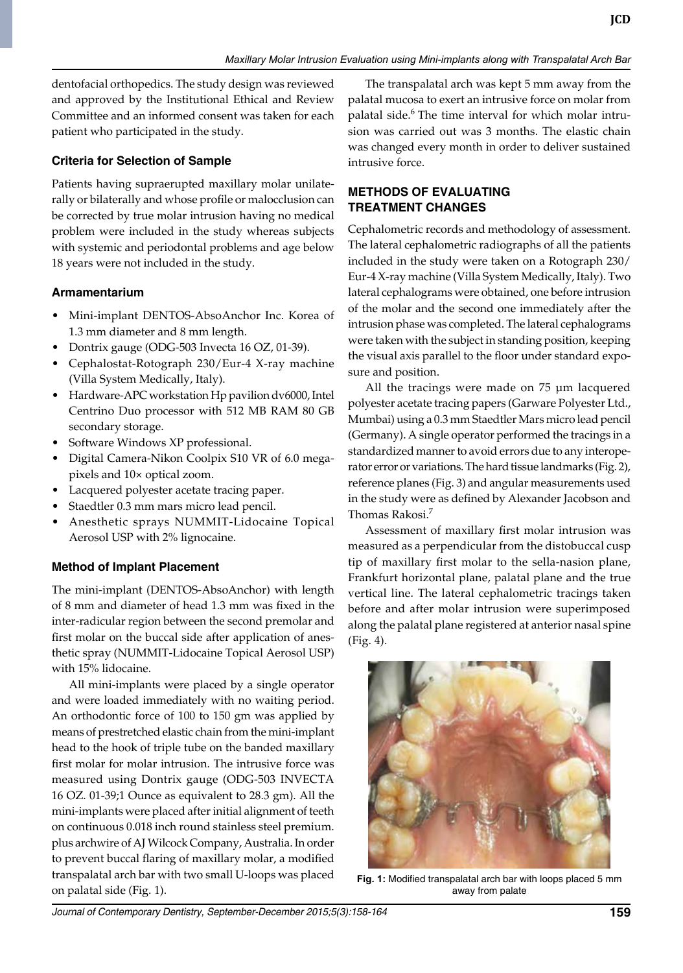dentofacial orthopedics. The study design was reviewed and approved by the Institutional Ethical and Review committee and an informed consent was taken for each patient who participated in the study.

# **Criteria for Selection of Sample**

Patients having supraerupted maxillary molar unilaterally or bilaterally and whose profile or malocclusion can be corrected by true molar intrusion having no medical problem were included in the study whereas subjects with systemic and periodontal problems and age below 18 years were not included in the study.

# **Armamentarium**

- Mini-implant DENTOS-AbsoAnchor Inc. Korea of 1.3 mm diameter and 8 mm length.
- Dontrix gauge (ODG-503 Invecta 16 OZ, 01-39).
- Cephalostat-Rotograph 230/Eur-4 X-ray machine (Villa System Medically, Italy).
- Hardware-APC workstation Hp pavilion dv6000, Intel Centrino Duo processor with 512 MB RAM 80 GB secondary storage.
- Software Windows XP professional.
- Digital Camera-Nikon Coolpix S10 VR of 6.0 megapixels and 10× optical zoom.
- Lacquered polyester acetate tracing paper.
- Staedtler 0.3 mm mars micro lead pencil.
- Anesthetic sprays NUMMIT-Lidocaine Topical Aerosol USP with 2% lignocaine.

# **Method of Implant Placement**

The mini-implant (DENTOS-AbsoAnchor) with length of 8 mm and diameter of head 1.3 mm was fixed in the inter-radicular region between the second premolar and first molar on the buccal side after application of anesthetic spray (NUMMIT-Lidocaine Topical Aerosol USP) with 15% lidocaine.

All mini-implants were placed by a single operator and were loaded immediately with no waiting period. An orthodontic force of 100 to 150 gm was applied by means of prestretched elastic chain from the mini-implant head to the hook of triple tube on the banded maxillary first molar for molar intrusion. The intrusive force was measured using Dontrix gauge (ODG-503 INVECTA 16 OZ. 01-39;1 Ounce as equivalent to 28.3 gm). All the mini-implants were placed after initial alignment of teeth on continuous 0.018 inch round stainless steel premium. plus archwire of AJ Wilcock Company, Australia. In order to prevent buccal flaring of maxillary molar, a modified transpalatal arch bar with two small U-loops was placed on palatal side (Fig. 1).

The transpalatal arch was kept 5 mm away from the palatal mucosa to exert an intrusive force on molar from palatal side.<sup>6</sup> The time interval for which molar intrusion was carried out was 3 months. The elastic chain was changed every month in order to deliver sustained intrusive force.

# **Methods of Evaluating Treatment Changes**

Cephalometric records and methodology of assessment. The lateral cephalometric radiographs of all the patients included in the study were taken on a Rotograph 230/ Eur-4 X-ray machine (Villa System Medically, Italy). Two lateral cephalograms were obtained, one before intrusion of the molar and the second one immediately after the intrusion phase was completed. The lateral cephalograms were taken with the subject in standing position, keeping the visual axis parallel to the floor under standard exposure and position.

All the tracings were made on 75 μm lacquered polyester acetate tracing papers (Garware Polyester Ltd., Mumbai) using a 0.3 mm Staedtler Mars micro lead pencil (Germany). A single operator performed the tracings in a standardized manner to avoid errors due to any interoperator error or variations. The hard tissue landmarks (Fig. 2), reference planes (Fig. 3) and angular measurements used in the study were as defined by Alexander Jacobson and Thomas Rakosi.<sup>7</sup>

Assessment of maxillary first molar intrusion was measured as a perpendicular from the distobuccal cusp tip of maxillary first molar to the sella-nasion plane, Frankfurt horizontal plane, palatal plane and the true vertical line. The lateral cephalometric tracings taken before and after molar intrusion were superimposed along the palatal plane registered at anterior nasal spine (Fig. 4).



**Fig. 1:** Modified transpalatal arch bar with loops placed 5 mm away from palate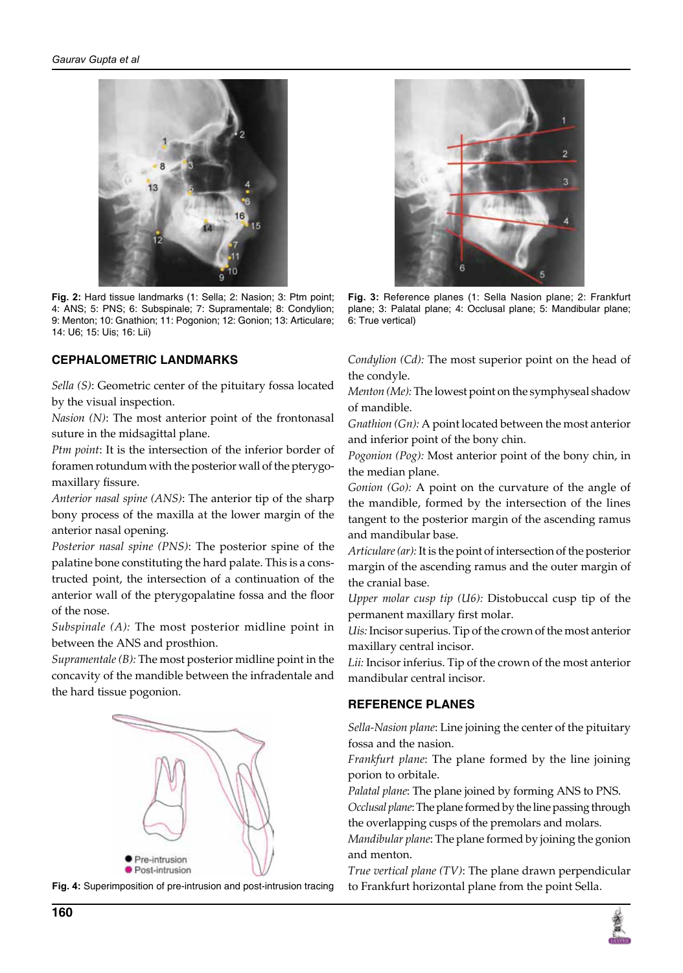

**Fig. 2:** Hard tissue landmarks (1: Sella; 2: Nasion; 3: Ptm point; 4: ANS; 5: PNS; 6: Subspinale; 7: Supramentale; 8: Condylion; 9: Menton; 10: Gnathion; 11: Pogonion; 12: Gonion; 13: Articulare; 14: U6; 15: Uis; 16: Lii)

# **Cephalometric Landmarks**

*Sella (S)*: Geometric center of the pituitary fossa located by the visual inspection.

*Nasion (N)*: The most anterior point of the frontonasal suture in the midsagittal plane.

*Ptm point*: It is the intersection of the inferior border of foramen rotundum with the posterior wall of the pterygomaxillary fissure.

*Anterior nasal spine (ANS)*: The anterior tip of the sharp bony process of the maxilla at the lower margin of the anterior nasal opening.

*Posterior nasal spine (PNS)*: The posterior spine of the palatine bone constituting the hard palate. This is a constructed point, the intersection of a continuation of the anterior wall of the pterygopalatine fossa and the floor of the nose.

*Subspinale (A):* The most posterior midline point in between the ANS and prosthion.

*Supramentale (B):* The most posterior midline point in the concavity of the mandible between the infradentale and the hard tissue pogonion.







**Fig. 3:** Reference planes (1: Sella Nasion plane; 2: Frankfurt plane; 3: Palatal plane; 4: Occlusal plane; 5: Mandibular plane; 6: True vertical)

*Condylion (Cd):* The most superior point on the head of the condyle.

*Menton (Me):* The lowest point on the symphyseal shadow of mandible.

*Gnathion (Gn):* A point located between the most anterior and inferior point of the bony chin.

*Pogonion (Pog):* Most anterior point of the bony chin, in the median plane.

*Gonion (Go):* A point on the curvature of the angle of the mandible, formed by the intersection of the lines tangent to the posterior margin of the ascending ramus and mandibular base.

*Articulare (ar):* It is the point of intersection of the posterior margin of the ascending ramus and the outer margin of the cranial base.

*Upper molar cusp tip (U6):* Distobuccal cusp tip of the permanent maxillary first molar.

*Uis:* Incisor superius. Tip of the crown of the most anterior maxillary central incisor.

*Lii:* Incisor inferius. Tip of the crown of the most anterior mandibular central incisor.

#### **REFERENCE PLANES**

*Sella-Nasion plane*: Line joining the center of the pituitary fossa and the nasion.

*Frankfurt plane*: The plane formed by the line joining porion to orbitale.

*Palatal plane*: The plane joined by forming ANS to PNS. *Occlusal plane*: The plane formed by the line passing through

the overlapping cusps of the premolars and molars.

*Mandibular plane*: The plane formed by joining the gonion and menton.

*True vertical plane (TV)*: The plane drawn perpendicular to Frankfurt horizontal plane from the point Sella.

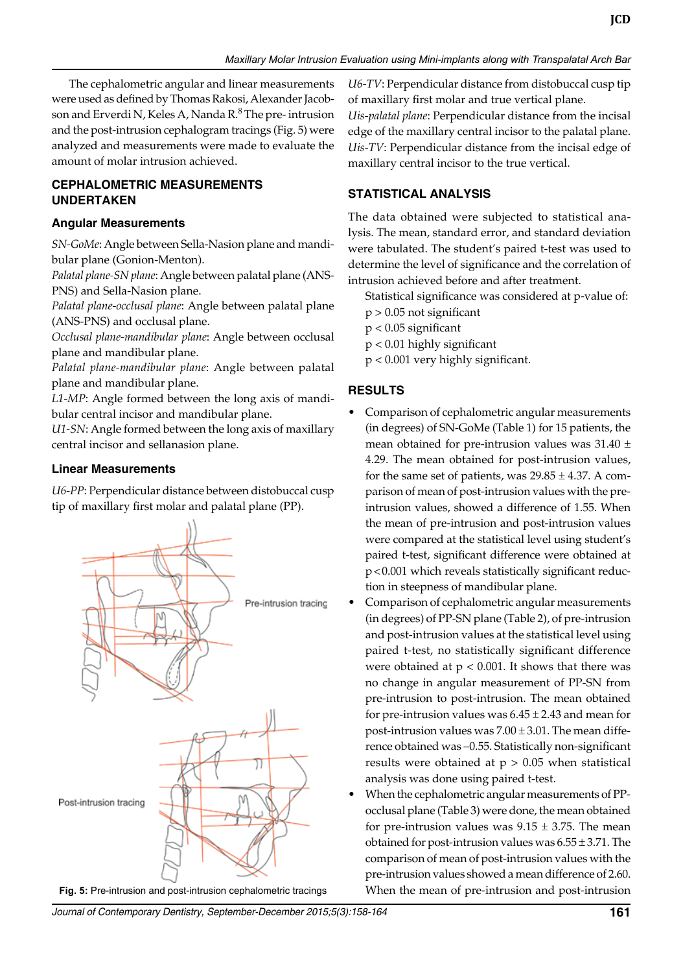The cephalometric angular and linear measurements were used as defined by Thomas Rakosi, Alexander Jacobson and Erverdi N, Keles A, Nanda R $.8^{\circ}$  The pre-intrusion and the post-intrusion cephalogram tracings (Fig. 5) were analyzed and measurements were made to evaluate the amount of molar intrusion achieved.

### **CEPHALOMETRIC MEASUREMENTS UNDERTAKEN**

#### **Angular Measurements**

*SN-GoMe*: Angle between Sella-Nasion plane and mandibular plane (Gonion-Menton).

*Palatal plane-SN plane*: Angle between palatal plane (ANS-PNS) and Sella-Nasion plane.

*Palatal plane-occlusal plane*: Angle between palatal plane (ANS-PNS) and occlusal plane.

*Occlusal plane-mandibular plane*: Angle between occlusal plane and mandibular plane.

*Palatal plane-mandibular plane*: Angle between palatal plane and mandibular plane.

*L1-MP*: Angle formed between the long axis of mandibular central incisor and mandibular plane.

*U1-SN*: Angle formed between the long axis of maxillary central incisor and sellanasion plane.

### **Linear Measurements**

*U6-PP*: Perpendicular distance between distobuccal cusp tip of maxillary first molar and palatal plane (PP).



*U6-TV*: Perpendicular distance from distobuccal cusp tip of maxillary first molar and true vertical plane.

*Uis-palatal plane*: Perpendicular distance from the incisal edge of the maxillary central incisor to the palatal plane. *Uis-TV*: Perpendicular distance from the incisal edge of maxillary central incisor to the true vertical.

# **STATISTICAL ANALYSIS**

The data obtained were subjected to statistical analysis. The mean, standard error, and standard deviation were tabulated. The student's paired t-test was used to determine the level of significance and the correlation of intrusion achieved before and after treatment.

Statistical significance was considered at p-value of:

- $p > 0.05$  not significant
- p < 0.05 significant
- p < 0.01 highly significant
- p < 0.001 very highly significant.

# **RESULTS**

- Comparison of cephalometric angular measurements (in degrees) of SN-GoMe (Table 1) for 15 patients, the mean obtained for pre-intrusion values was  $31.40 \pm$ 4.29. The mean obtained for post-intrusion values, for the same set of patients, was  $29.85 \pm 4.37$ . A comparison of mean of post-intrusion values with the preintrusion values, showed a difference of 1.55. When the mean of pre-intrusion and post-intrusion values were compared at the statistical level using student's paired t-test, significant difference were obtained at p<0.001 which reveals statistically significant reduction in steepness of mandibular plane.
- Comparison of cephalometric angular measurements (in degrees) of PP-SN plane (Table 2), of pre-intrusion and post-intrusion values at the statistical level using paired t-test, no statistically significant difference were obtained at  $p < 0.001$ . It shows that there was no change in angular measurement of PP-SN from pre-intrusion to post-intrusion. The mean obtained for pre-intrusion values was  $6.45 \pm 2.43$  and mean for post-intrusion values was  $7.00 \pm 3.01$ . The mean difference obtained was –0.55. Statistically non-significant results were obtained at  $p > 0.05$  when statistical analysis was done using paired t-test.
- When the cephalometric angular measurements of PPocclusal plane (Table 3) were done, the mean obtained for pre-intrusion values was  $9.15 \pm 3.75$ . The mean obtained for post-intrusion values was  $6.55 \pm 3.71$ . The comparison of mean of post-intrusion values with the pre-intrusion values showed a mean difference of 2.60. **Fig. 5:** Pre-intrusion and post-intrusion cephalometric tracings When the mean of pre-intrusion and post-intrusion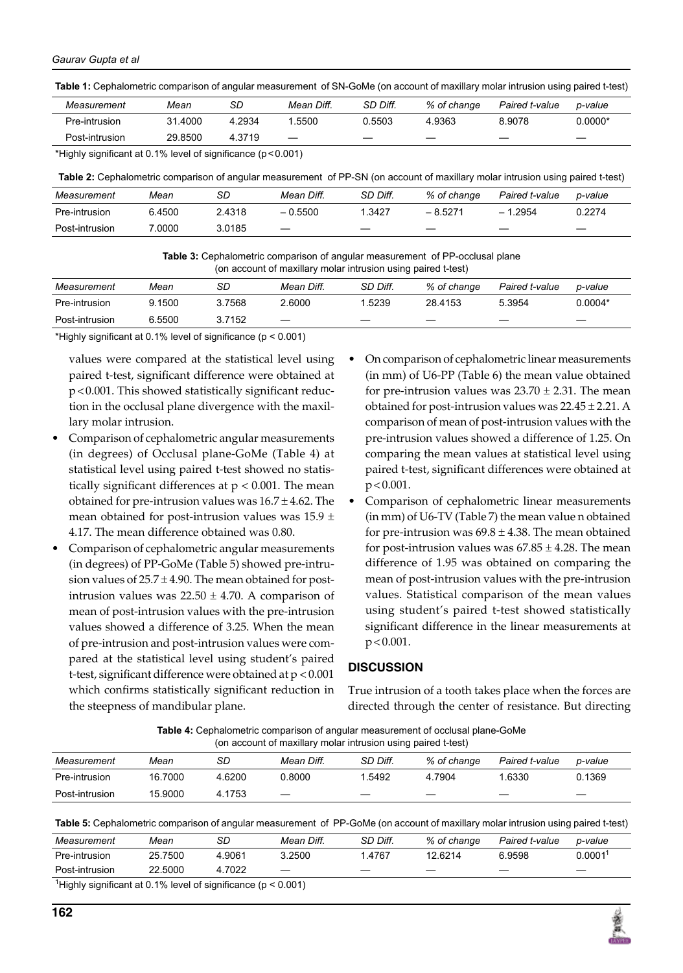**Table 1:** Cephalometric comparison of angular measurement of SN-GoMe (on account of maxillary molar intrusion using paired t-test)

| Measurement                                                           | Mean    | SD     | Mean Diff. | SD Diff. | % of change | Paired t-value | p-value |  |
|-----------------------------------------------------------------------|---------|--------|------------|----------|-------------|----------------|---------|--|
| Pre-intrusion                                                         | 31.4000 | 4.2934 | .5500      | 0.5503   | 4.9363      | 8.9078         | 0.0000* |  |
| Post-intrusion                                                        | 29.8500 | 4.3719 |            |          | _           | _              | –       |  |
| $\star$ lichte sinnificant at 0.40/ loual of sinnificance (n < 0.004) |         |        |            |          |             |                |         |  |

\*Highly significant at 0.1% level of significance (p<0.001)

**Table 2:** Cephalometric comparison of angular measurement of PP-SN (on account of maxillary molar intrusion using paired t-test)

| Measurement    | Mean   | SD     | Mean Diff.               | SD Diff. | % of change | Paired t-value | p-value |
|----------------|--------|--------|--------------------------|----------|-------------|----------------|---------|
| Pre-intrusion  | 6.4500 | 2.4318 | $-0.5500$                | 1.3427   | $-8.5271$   | $-1.2954$      | በ 2274  |
| Post-intrusion | 7.0000 | 3.0185 | $\overline{\phantom{m}}$ |          |             | _              |         |

**Table 3:** Cephalometric comparison of angular measurement of PP-occlusal plane (on account of maxillary molar intrusion using paired t-test)

| Measurement    | Mean   | SD     | Mean Diff.               | SD Diff. | % of change | Paired t-value | p-value   |
|----------------|--------|--------|--------------------------|----------|-------------|----------------|-----------|
| Pre-intrusion  | 9.1500 | 3.7568 | 2.6000                   | 1.5239   | 28.4153     | 5.3954         | $0.0004*$ |
| Post-intrusion | 6.5500 | 3.7152 | $\overline{\phantom{m}}$ | _        | _           | __             | __        |
|                |        |        |                          |          |             |                |           |

\*Highly significant at 0.1% level of significance (p < 0.001)

values were compared at the statistical level using paired t-test, significant difference were obtained at p<0.001. This showed statistically significant reduction in the occlusal plane divergence with the maxillary molar intrusion.

- Comparison of cephalometric angular measurements (in degrees) of Occlusal plane-GoMe (Table 4) at statistical level using paired t-test showed no statistically significant differences at  $p < 0.001$ . The mean obtained for pre-intrusion values was  $16.7 \pm 4.62$ . The mean obtained for post-intrusion values was  $15.9 \pm$ 4.17. The mean difference obtained was 0.80.
- Comparison of cephalometric angular measurements (in degrees) of PP-GoMe (Table 5) showed pre-intrusion values of  $25.7 \pm 4.90$ . The mean obtained for postintrusion values was  $22.50 \pm 4.70$ . A comparison of mean of post-intrusion values with the pre-intrusion values showed a difference of 3.25. When the mean of pre-intrusion and post-intrusion values were compared at the statistical level using student's paired t-test, significant difference were obtained at p < 0.001 which confirms statistically significant reduction in the steepness of mandibular plane.
- On comparison of cephalometric linear measurements (in mm) of U6-PP (Table 6) the mean value obtained for pre-intrusion values was  $23.70 \pm 2.31$ . The mean obtained for post-intrusion values was  $22.45 \pm 2.21$ . A comparison of mean of post-intrusion values with the pre-intrusion values showed a difference of 1.25. On comparing the mean values at statistical level using paired t-test, significant differences were obtained at  $p < 0.001$ .
- Comparison of cephalometric linear measurements (in mm) of U6-TV (Table 7) the mean value n obtained for pre-intrusion was  $69.8 \pm 4.38$ . The mean obtained for post-intrusion values was  $67.85 \pm 4.28$ . The mean difference of 1.95 was obtained on comparing the mean of post-intrusion values with the pre-intrusion values. Statistical comparison of the mean values using student's paired t-test showed statistically significant difference in the linear measurements at  $p < 0.001$ .

# **DISCUSSION**

True intrusion of a tooth takes place when the forces are directed through the center of resistance. But directing

#### **Table 4:** Cephalometric comparison of angular measurement of occlusal plane-GoMe (on account of maxillary molar intrusion using paired t-test)

|                | on acceding or maximally molar intraction acting pairoally tool) |        |                          |          |             |                |         |  |
|----------------|------------------------------------------------------------------|--------|--------------------------|----------|-------------|----------------|---------|--|
| Measurement    | Mean                                                             | SD     | Mean Diff.               | SD Diff. | % of change | Paired t-value | p-value |  |
| Pre-intrusion  | 16.7000                                                          | 4.6200 | 0.8000                   | .5492    | 4.7904      | .6330          | 0.1369  |  |
| Post-intrusion | 15.9000                                                          | 4.1753 | $\overline{\phantom{m}}$ | _        |             |                |         |  |

**Table 5:** Cephalometric comparison of angular measurement of PP-GoMe (on account of maxillary molar intrusion using paired t-test)

| Measurement                                                                   | Mean    | SD     | Mean Diff.               | SD Diff. | % of change | Paired t-value | p-value             |  |
|-------------------------------------------------------------------------------|---------|--------|--------------------------|----------|-------------|----------------|---------------------|--|
| Pre-intrusion                                                                 | 25.7500 | 4.9061 | 3.2500                   | 1.4767   | 12.6214     | 6.9598         | 0.0001 <sup>1</sup> |  |
| Post-intrusion                                                                | 22.5000 | 4.7022 | $\overline{\phantom{m}}$ | _        |             | _              |                     |  |
| <sup>1</sup> Highly significant at 0.1% level of significance ( $p < 0.001$ ) |         |        |                          |          |             |                |                     |  |

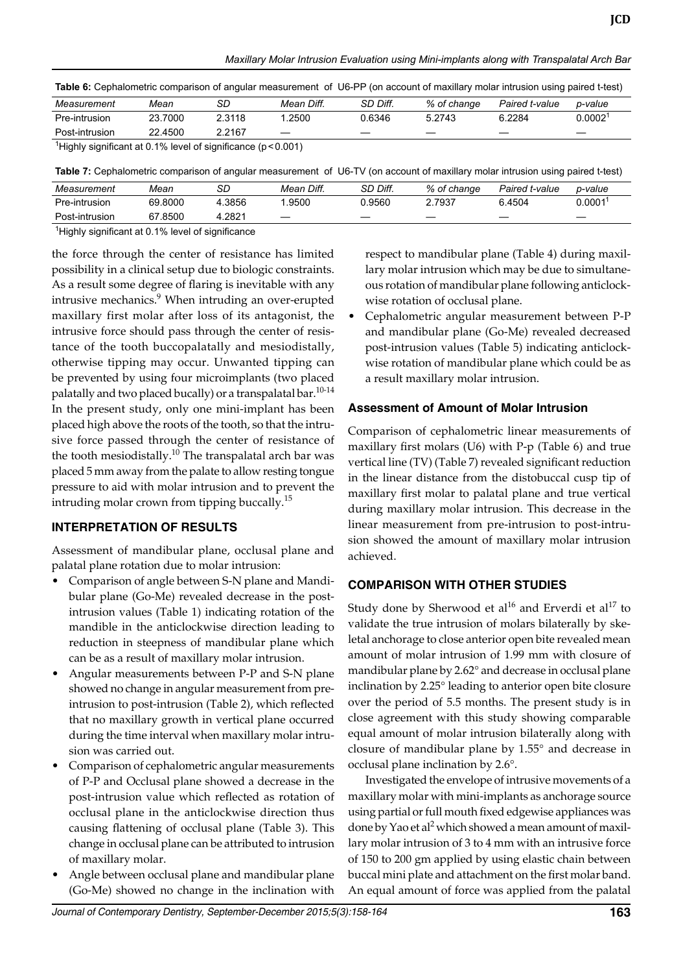*Maxillary Molar Intrusion Evaluation using Mini-implants along with Transpalatal Arch Bar*

|  |  | Table 6: Cephalometric comparison of angular measurement of U6-PP (on account of maxillary molar intrusion using paired t-test) |
|--|--|---------------------------------------------------------------------------------------------------------------------------------|
|--|--|---------------------------------------------------------------------------------------------------------------------------------|

| Measurement                                                                   | Mean    | SD     | Mean Diff.        | SD Diff. | % of change | Paired t-value | p-value    |  |
|-------------------------------------------------------------------------------|---------|--------|-------------------|----------|-------------|----------------|------------|--|
| Pre-intrusion                                                                 | 23.7000 | 2.3118 | .2500             | 0.6346   | 5.2743      | 6.2284         | $0.0002^1$ |  |
| Post-intrusion                                                                | 22.4500 | 2.2167 | $\hspace{0.05cm}$ |          |             |                |            |  |
| <sup>1</sup> Highly significant at 0.1% level of significance ( $n < 0.001$ ) |         |        |                   |          |             |                |            |  |

nt at 0.1% level of significance (p<0.001)

**Table 7:** Cephalometric comparison of angular measurement of U6-TV (on account of maxillary molar intrusion using paired t-test)

| Measurement                                           | Mean    | SD     | Mean Diff.               | SD Diff. | % of change              | Paired t-value           | p-value                  |  |
|-------------------------------------------------------|---------|--------|--------------------------|----------|--------------------------|--------------------------|--------------------------|--|
| Pre-intrusion                                         | 69.8000 | 4.3856 | .9500                    | 0.9560   | 2.7937                   | 6 4504                   | 0.0001                   |  |
| Post-intrusion                                        | 67.8500 | 4.2821 | $\overline{\phantom{m}}$ | _        | $\overline{\phantom{a}}$ | $\overline{\phantom{a}}$ | $\overline{\phantom{a}}$ |  |
| $1$ Highly oignificant of 0.40/ loyal of oignificance |         |        |                          |          |                          |                          |                          |  |

<sup>1</sup>Highly significant at 0.1% level of significance

the force through the center of resistance has limited possibility in a clinical setup due to biologic constraints. As a result some degree of flaring is inevitable with any intrusive mechanics.<sup>9</sup> When intruding an over-erupted maxillary first molar after loss of its antagonist, the intrusive force should pass through the center of resistance of the tooth buccopalatally and mesiodistally, otherwise tipping may occur. Unwanted tipping can be prevented by using four microimplants (two placed palatally and two placed bucally) or a transpalatal bar.<sup>10-14</sup> In the present study, only one mini-implant has been placed high above the roots of the tooth, so that the intrusive force passed through the center of resistance of the tooth mesiodistally.<sup>10</sup> The transpalatal arch bar was placed 5 mm away from the palate to allow resting tongue pressure to aid with molar intrusion and to prevent the intruding molar crown from tipping buccally.<sup>15</sup>

# **INTERPRETATION OF RESULTS**

Assessment of mandibular plane, occlusal plane and palatal plane rotation due to molar intrusion:

- Comparison of angle between S-N plane and Mandibular plane (Go-Me) revealed decrease in the postintrusion values (Table 1) indicating rotation of the mandible in the anticlockwise direction leading to reduction in steepness of mandibular plane which can be as a result of maxillary molar intrusion.
- Angular measurements between P-P and S-N plane showed no change in angular measurement from preintrusion to post-intrusion (Table 2), which reflected that no maxillary growth in vertical plane occurred during the time interval when maxillary molar intrusion was carried out.
- Comparison of cephalometric angular measurements of P-P and Occlusal plane showed a decrease in the post-intrusion value which reflected as rotation of occlusal plane in the anticlockwise direction thus causing flattening of occlusal plane (Table 3). This change in occlusal plane can be attributed to intrusion of maxillary molar.
- Angle between occlusal plane and mandibular plane (Go-Me) showed no change in the inclination with

respect to mandibular plane (Table 4) during maxillary molar intrusion which may be due to simultaneous rotation of mandibular plane following anticlockwise rotation of occlusal plane.

• Cephalometric angular measurement between P-P and mandibular plane (Go-Me) revealed decreased post-intrusion values (Table 5) indicating anticlockwise rotation of mandibular plane which could be as a result maxillary molar intrusion.

# **Assessment of Amount of Molar Intrusion**

Comparison of cephalometric linear measurements of maxillary first molars (U6) with P-p (Table 6) and true vertical line (TV) (Table 7) revealed significant reduction in the linear distance from the distobuccal cusp tip of maxillary first molar to palatal plane and true vertical during maxillary molar intrusion. This decrease in the linear measurement from pre-intrusion to post-intrusion showed the amount of maxillary molar intrusion achieved.

# **COMPARISON WITH OTHER STUDIES**

Study done by Sherwood et al<sup>16</sup> and Erverdi et al<sup>17</sup> to validate the true intrusion of molars bilaterally by skeletal anchorage to close anterior open bite revealed mean amount of molar intrusion of 1.99 mm with closure of mandibular plane by 2.62° and decrease in occlusal plane inclination by 2.25° leading to anterior open bite closure over the period of 5.5 months. The present study is in close agreement with this study showing comparable equal amount of molar intrusion bilaterally along with closure of mandibular plane by 1.55° and decrease in occlusal plane inclination by 2.6°.

Investigated the envelope of intrusive movements of a maxillary molar with mini-implants as anchorage source using partial or full mouth fixed edgewise appliances was done by Yao et al<sup>2</sup> which showed a mean amount of maxillary molar intrusion of 3 to 4 mm with an intrusive force of 150 to 200 gm applied by using elastic chain between buccal mini plate and attachment on the first molar band. An equal amount of force was applied from the palatal